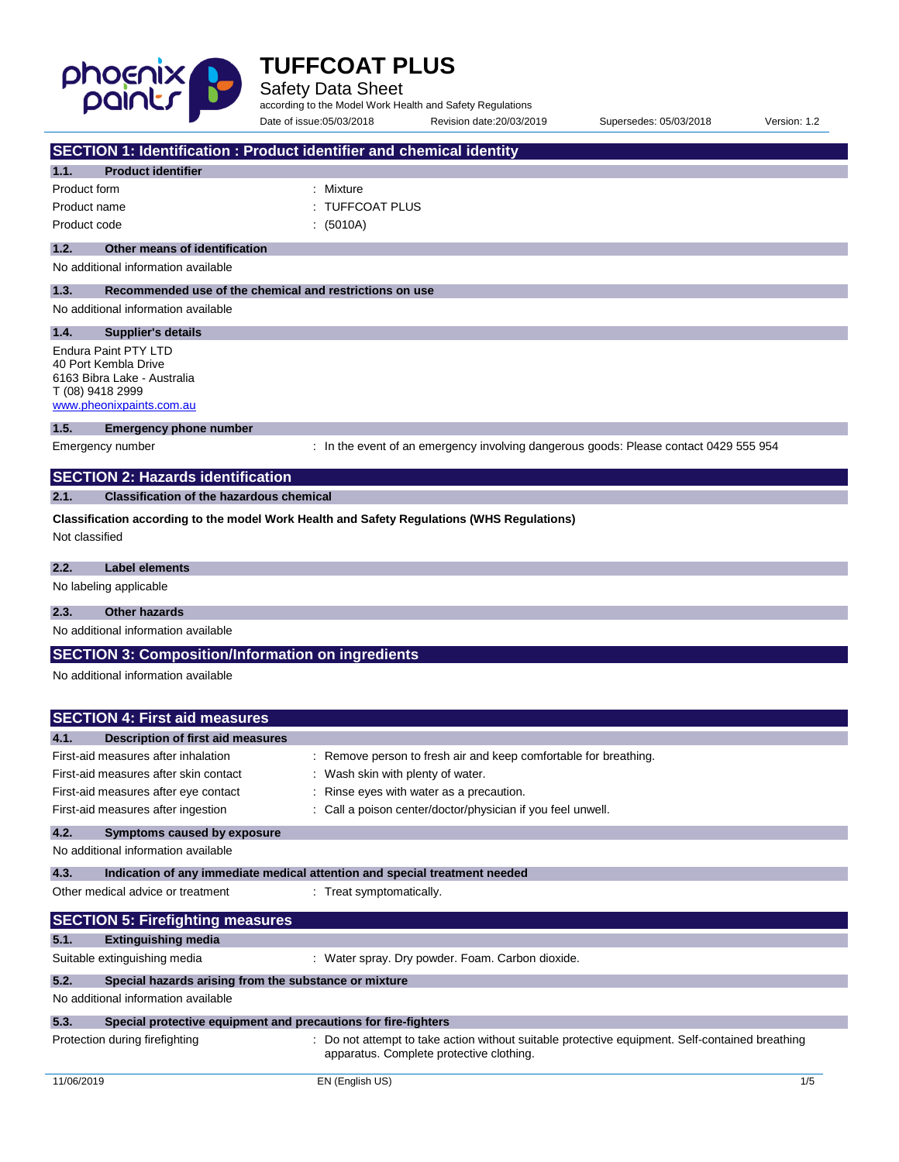

÷,

## **TUFFCOAT PLUS**

Safety Data Sheet

according to the Model Work Health and Safety Regulations Date of issue:05/03/2018 Revision date:20/03/2019 Supersedes: 05/03/2018 Version: 1.2

| SECTION 1: Identification : Product identifier and chemical identity             |                                                                                                       |
|----------------------------------------------------------------------------------|-------------------------------------------------------------------------------------------------------|
| <b>Product identifier</b><br>1.1.                                                |                                                                                                       |
| Product form                                                                     | : Mixture                                                                                             |
| Product name                                                                     | <b>TUFFCOAT PLUS</b>                                                                                  |
| Product code                                                                     | : (5010A)                                                                                             |
| 1.2.<br>Other means of identification                                            |                                                                                                       |
| No additional information available                                              |                                                                                                       |
|                                                                                  |                                                                                                       |
| 1.3.<br>Recommended use of the chemical and restrictions on use                  |                                                                                                       |
| No additional information available                                              |                                                                                                       |
| 1.4.<br>Supplier's details                                                       |                                                                                                       |
| Endura Paint PTY LTD<br>40 Port Kembla Drive                                     |                                                                                                       |
| 6163 Bibra Lake - Australia                                                      |                                                                                                       |
| T (08) 9418 2999                                                                 |                                                                                                       |
| www.pheonixpaints.com.au                                                         |                                                                                                       |
| 1.5.<br><b>Emergency phone number</b>                                            |                                                                                                       |
| Emergency number                                                                 | : In the event of an emergency involving dangerous goods: Please contact 0429 555 954                 |
| <b>SECTION 2: Hazards identification</b>                                         |                                                                                                       |
| <b>Classification of the hazardous chemical</b><br>2.1.                          |                                                                                                       |
|                                                                                  | Classification according to the model Work Health and Safety Regulations (WHS Regulations)            |
| Not classified                                                                   |                                                                                                       |
|                                                                                  |                                                                                                       |
| 2.2.<br><b>Label elements</b>                                                    |                                                                                                       |
| No labeling applicable                                                           |                                                                                                       |
| 2.3.<br><b>Other hazards</b>                                                     |                                                                                                       |
| No additional information available                                              |                                                                                                       |
| <b>SECTION 3: Composition/Information on ingredients</b>                         |                                                                                                       |
| No additional information available                                              |                                                                                                       |
|                                                                                  |                                                                                                       |
| <b>SECTION 4: First aid measures</b>                                             |                                                                                                       |
|                                                                                  |                                                                                                       |
| 4.1.<br>Description of first aid measures<br>First-aid measures after inhalation |                                                                                                       |
| First-aid measures after skin contact                                            | : Remove person to fresh air and keep comfortable for breathing.<br>: Wash skin with plenty of water. |
| First-aid measures after eye contact                                             | : Rinse eyes with water as a precaution.                                                              |
| First-aid measures after ingestion                                               | : Call a poison center/doctor/physician if you feel unwell.                                           |
| 4.2.                                                                             |                                                                                                       |
| Symptoms caused by exposure<br>No additional information available               |                                                                                                       |
|                                                                                  |                                                                                                       |
| 4.3.                                                                             | Indication of any immediate medical attention and special treatment needed                            |
| Other medical advice or treatment                                                | : Treat symptomatically.                                                                              |
| <b>SECTION 5: Firefighting measures</b>                                          |                                                                                                       |
| 5.1.<br><b>Extinguishing media</b>                                               |                                                                                                       |
| Suitable extinguishing media                                                     | : Water spray. Dry powder. Foam. Carbon dioxide.                                                      |
| 5.2.<br>Special hazards arising from the substance or mixture                    |                                                                                                       |
| No additional information available                                              |                                                                                                       |
| 5.3.<br>Special protective equipment and precautions for fire-fighters           |                                                                                                       |
| Protection during firefighting                                                   | : Do not attempt to take action without suitable protective equipment. Self-contained breathing       |
|                                                                                  | apparatus. Complete protective clothing.                                                              |
|                                                                                  | EN (English US)<br>1/5                                                                                |
| 11/06/2019                                                                       |                                                                                                       |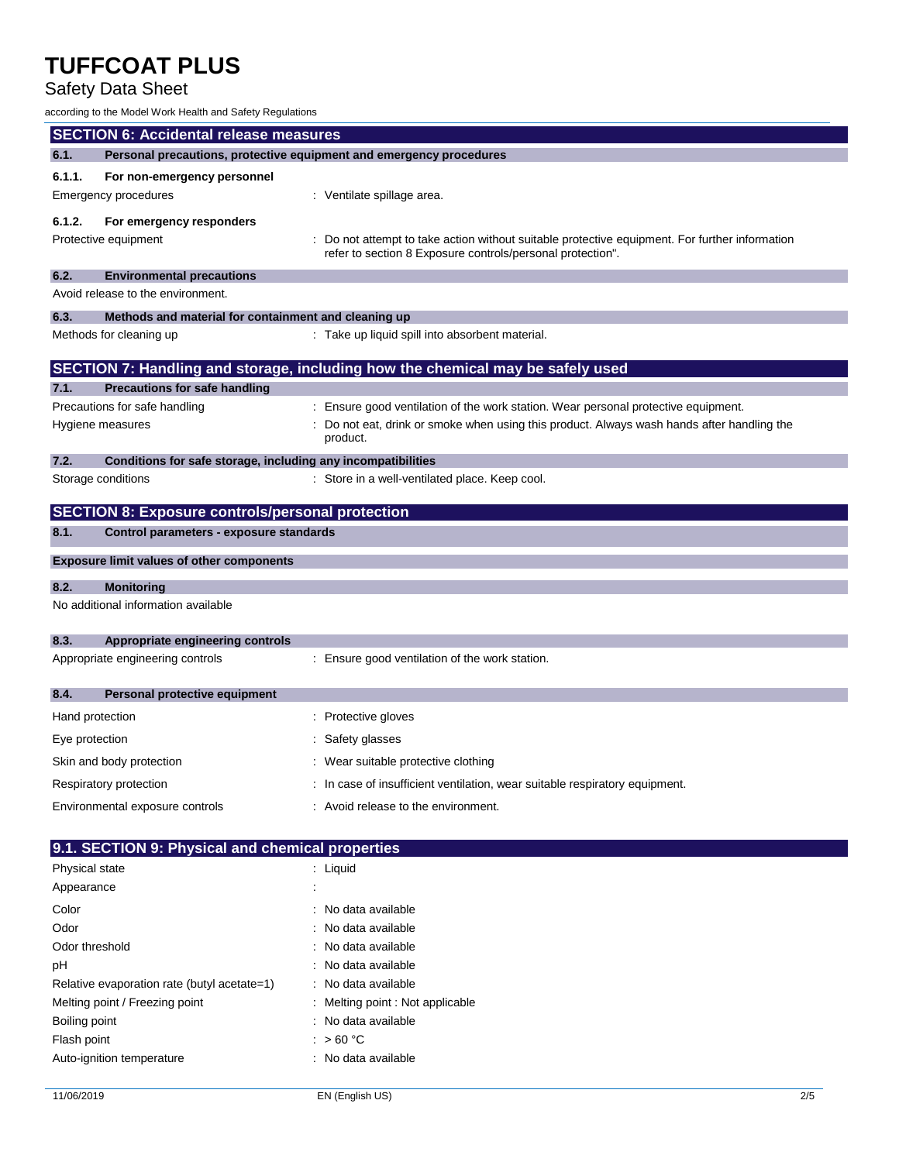### Safety Data Sheet

according to the Model Work Health and Safety Regulations

| <b>SECTION 6: Accidental release measures</b> |                                                                     |  |                                                                                              |
|-----------------------------------------------|---------------------------------------------------------------------|--|----------------------------------------------------------------------------------------------|
| 6.1.                                          | Personal precautions, protective equipment and emergency procedures |  |                                                                                              |
| 6.1.1.                                        | For non-emergency personnel                                         |  |                                                                                              |
|                                               | Emergency procedures                                                |  | : Ventilate spillage area.                                                                   |
| 6.1.2.                                        | For emergency responders                                            |  |                                                                                              |
|                                               | Protective equipment                                                |  | Do not attempt to take action without suitable protective equipment. For further information |
|                                               |                                                                     |  | refer to section 8 Exposure controls/personal protection".                                   |
| 6.2.                                          | <b>Environmental precautions</b>                                    |  |                                                                                              |
|                                               | Avoid release to the environment.                                   |  |                                                                                              |
| 6.3.                                          | Methods and material for containment and cleaning up                |  |                                                                                              |
|                                               | Methods for cleaning up                                             |  | : Take up liquid spill into absorbent material.                                              |
|                                               |                                                                     |  |                                                                                              |
| 7.1.                                          | <b>Precautions for safe handling</b>                                |  | SECTION 7: Handling and storage, including how the chemical may be safely used               |
|                                               | Precautions for safe handling                                       |  | : Ensure good ventilation of the work station. Wear personal protective equipment.           |
|                                               | Hygiene measures                                                    |  | Do not eat, drink or smoke when using this product. Always wash hands after handling the     |
|                                               |                                                                     |  | product.                                                                                     |
| 7.2.                                          | Conditions for safe storage, including any incompatibilities        |  |                                                                                              |
|                                               | Storage conditions                                                  |  | : Store in a well-ventilated place. Keep cool.                                               |
|                                               |                                                                     |  |                                                                                              |
|                                               | <b>SECTION 8: Exposure controls/personal protection</b>             |  |                                                                                              |
| 8.1.                                          | Control parameters - exposure standards                             |  |                                                                                              |
|                                               | <b>Exposure limit values of other components</b>                    |  |                                                                                              |
| 8.2.                                          | <b>Monitoring</b>                                                   |  |                                                                                              |
|                                               | No additional information available                                 |  |                                                                                              |
|                                               |                                                                     |  |                                                                                              |
| 8.3.                                          | Appropriate engineering controls                                    |  |                                                                                              |
|                                               | Appropriate engineering controls                                    |  | : Ensure good ventilation of the work station.                                               |
|                                               |                                                                     |  |                                                                                              |
| 8.4.                                          | Personal protective equipment                                       |  |                                                                                              |
| Hand protection                               |                                                                     |  | : Protective gloves                                                                          |
| Eye protection                                |                                                                     |  | : Safety glasses                                                                             |
|                                               | Skin and body protection                                            |  | : Wear suitable protective clothing                                                          |
|                                               | Respiratory protection                                              |  | : In case of insufficient ventilation, wear suitable respiratory equipment.                  |
|                                               | Environmental exposure controls                                     |  | : Avoid release to the environment.                                                          |
|                                               |                                                                     |  |                                                                                              |
|                                               | 9.1. SECTION 9: Physical and chemical properties                    |  |                                                                                              |
| Physical state                                |                                                                     |  | : Liquid                                                                                     |
| Appearance                                    |                                                                     |  |                                                                                              |
| Color                                         |                                                                     |  | No data available                                                                            |
| Odor                                          |                                                                     |  | No data available                                                                            |
| Odor threshold                                |                                                                     |  | No data available                                                                            |
| pH                                            |                                                                     |  | No data available                                                                            |
|                                               | Relative evaporation rate (butyl acetate=1)                         |  | No data available                                                                            |
|                                               | Melting point / Freezing point                                      |  | Melting point : Not applicable                                                               |

Auto-ignition temperature **interest and the CO** in No data available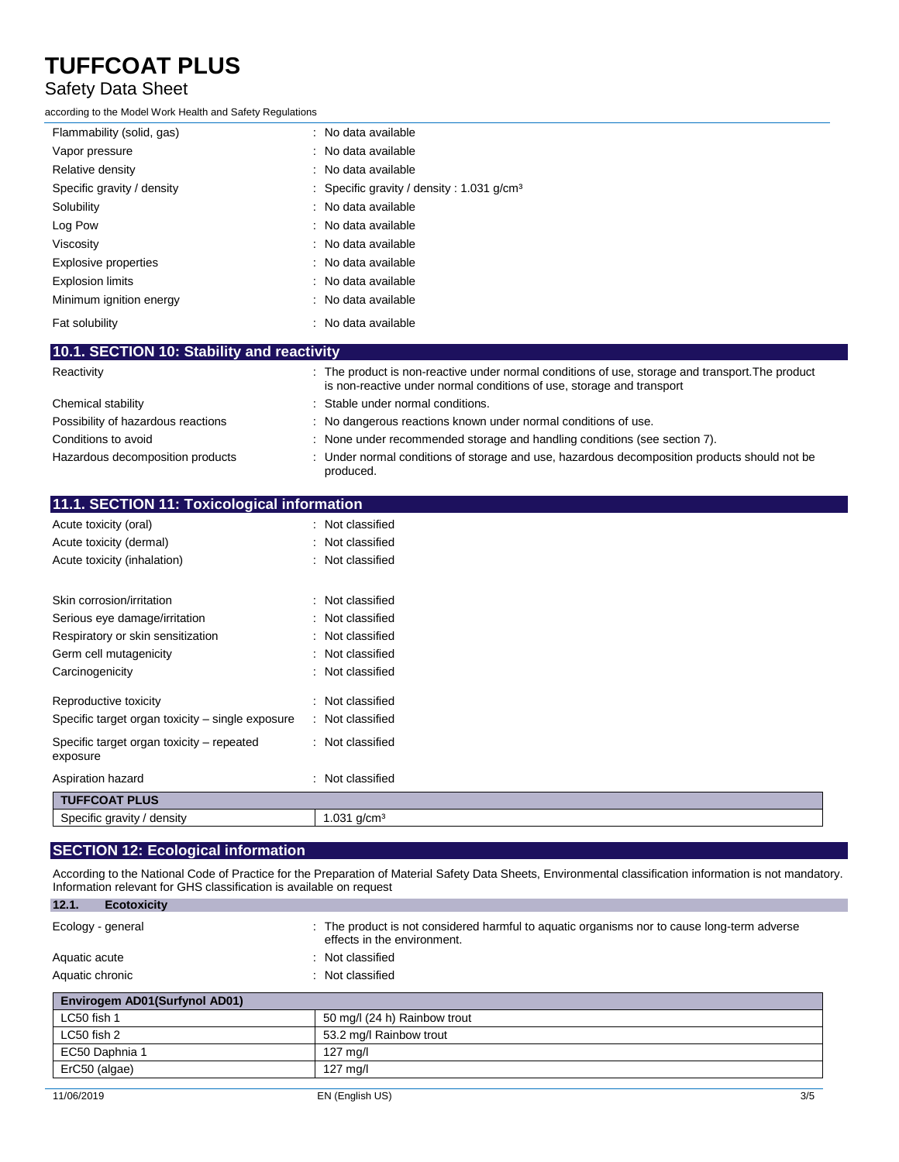#### Safety Data Sheet

according to the Model Work Health and Safety Regulations

| Flammability (solid, gas)                  | : No data available                                                                              |
|--------------------------------------------|--------------------------------------------------------------------------------------------------|
| Vapor pressure                             | : No data available                                                                              |
| Relative density                           | : No data available                                                                              |
| Specific gravity / density                 | : Specific gravity / density : 1.031 g/cm <sup>3</sup>                                           |
| Solubility                                 | : No data available                                                                              |
| Log Pow                                    | : No data available                                                                              |
| Viscosity                                  | : No data available                                                                              |
| <b>Explosive properties</b>                | : No data available                                                                              |
| <b>Explosion limits</b>                    | : No data available                                                                              |
| Minimum ignition energy                    | : No data available                                                                              |
| Fat solubility                             | : No data available                                                                              |
| 10.1. SECTION 10: Stability and reactivity |                                                                                                  |
| Reactivity                                 | : The product is non-reactive under normal conditions of use, storage and transport. The product |

| <b>INGUOLIVILY</b>                 | . The product is non-reactive ander nonnal conditions or doe, storage and transport. The product<br>is non-reactive under normal conditions of use, storage and transport |
|------------------------------------|---------------------------------------------------------------------------------------------------------------------------------------------------------------------------|
| Chemical stability                 | : Stable under normal conditions.                                                                                                                                         |
| Possibility of hazardous reactions | : No dangerous reactions known under normal conditions of use.                                                                                                            |
| Conditions to avoid                | : None under recommended storage and handling conditions (see section 7).                                                                                                 |
| Hazardous decomposition products   | : Under normal conditions of storage and use, hazardous decomposition products should not be<br>produced.                                                                 |

| 11.1. SECTION 11: Toxicological information           |                     |
|-------------------------------------------------------|---------------------|
| Acute toxicity (oral)                                 | : Not classified    |
| Acute toxicity (dermal)                               | Not classified      |
| Acute toxicity (inhalation)                           | Not classified      |
| Skin corrosion/irritation                             | Not classified<br>÷ |
| Serious eye damage/irritation                         | Not classified<br>t |
| Respiratory or skin sensitization                     | Not classified<br>İ |
| Germ cell mutagenicity                                | Not classified<br>t |
| Carcinogenicity                                       | Not classified<br>٠ |
| Reproductive toxicity                                 | Not classified<br>t |
| Specific target organ toxicity – single exposure      | Not classified<br>÷ |
| Specific target organ toxicity – repeated<br>exposure | Not classified<br>÷ |
| Aspiration hazard                                     | : Not classified    |
| <b>TUFFCOAT PLUS</b>                                  |                     |
| Specific gravity / density                            | 1.031 $g/cm3$       |
|                                                       |                     |

### **SECTION 12: Ecological information**

According to the National Code of Practice for the Preparation of Material Safety Data Sheets, Environmental classification information is not mandatory. Information relevant for GHS classification is available on request

| 12.1.<br><b>Ecotoxicity</b>   |                                                                                                                            |
|-------------------------------|----------------------------------------------------------------------------------------------------------------------------|
| Ecology - general             | : The product is not considered harmful to aquatic organisms nor to cause long-term adverse<br>effects in the environment. |
| Aquatic acute                 | : Not classified                                                                                                           |
| Aquatic chronic               | : Not classified                                                                                                           |
| Envirogem AD01(Surfynol AD01) |                                                                                                                            |
| LC50 fish 1                   | 50 mg/l (24 h) Rainbow trout                                                                                               |
| LC50 fish 2                   | 53.2 mg/l Rainbow trout                                                                                                    |
| EC50 Daphnia 1                | $127 \text{ m}$ g/l                                                                                                        |
| ErC50 (algae)                 | $127 \text{ mg/l}$                                                                                                         |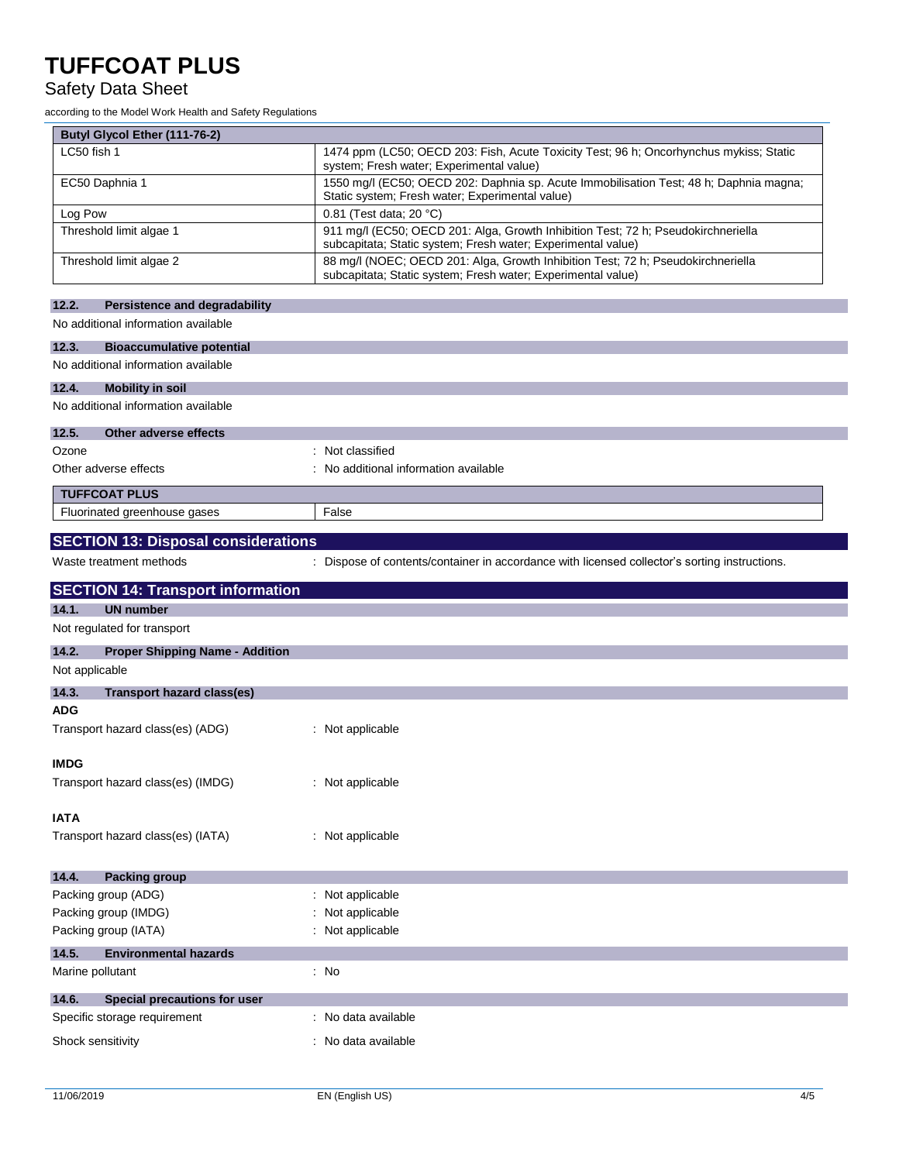### Safety Data Sheet

according to the Model Work Health and Safety Regulations

| Butyl Glycol Ether (111-76-2)                                     |                                                                                                                                                   |
|-------------------------------------------------------------------|---------------------------------------------------------------------------------------------------------------------------------------------------|
| LC50 fish 1                                                       | 1474 ppm (LC50; OECD 203: Fish, Acute Toxicity Test; 96 h; Oncorhynchus mykiss; Static<br>system; Fresh water; Experimental value)                |
| EC50 Daphnia 1                                                    | 1550 mg/l (EC50; OECD 202: Daphnia sp. Acute Immobilisation Test; 48 h; Daphnia magna;<br>Static system; Fresh water; Experimental value)         |
| Log Pow                                                           | 0.81 (Test data; 20 °C)                                                                                                                           |
| Threshold limit algae 1                                           | 911 mg/l (EC50; OECD 201: Alga, Growth Inhibition Test; 72 h; Pseudokirchneriella<br>subcapitata; Static system; Fresh water; Experimental value) |
| Threshold limit algae 2                                           | 88 mg/l (NOEC; OECD 201: Alga, Growth Inhibition Test; 72 h; Pseudokirchneriella<br>subcapitata; Static system; Fresh water; Experimental value)  |
| 12.2.<br><b>Persistence and degradability</b>                     |                                                                                                                                                   |
| No additional information available                               |                                                                                                                                                   |
| 12.3.<br><b>Bioaccumulative potential</b>                         |                                                                                                                                                   |
| No additional information available                               |                                                                                                                                                   |
| 12.4.<br><b>Mobility in soil</b>                                  |                                                                                                                                                   |
| No additional information available                               |                                                                                                                                                   |
|                                                                   |                                                                                                                                                   |
| 12.5.<br>Other adverse effects                                    |                                                                                                                                                   |
| Ozone                                                             | : Not classified                                                                                                                                  |
| Other adverse effects                                             | : No additional information available                                                                                                             |
| <b>TUFFCOAT PLUS</b>                                              |                                                                                                                                                   |
| Fluorinated greenhouse gases                                      | False                                                                                                                                             |
|                                                                   |                                                                                                                                                   |
| <b>SECTION 13: Disposal considerations</b>                        |                                                                                                                                                   |
| Waste treatment methods                                           | : Dispose of contents/container in accordance with licensed collector's sorting instructions.                                                     |
| <b>SECTION 14: Transport information</b>                          |                                                                                                                                                   |
| 14.1.<br><b>UN number</b>                                         |                                                                                                                                                   |
| Not regulated for transport                                       |                                                                                                                                                   |
|                                                                   |                                                                                                                                                   |
|                                                                   |                                                                                                                                                   |
| 14.2.<br><b>Proper Shipping Name - Addition</b><br>Not applicable |                                                                                                                                                   |
| 14.3.<br><b>Transport hazard class(es)</b>                        |                                                                                                                                                   |
| <b>ADG</b>                                                        |                                                                                                                                                   |
| Transport hazard class(es) (ADG)                                  | : Not applicable                                                                                                                                  |
|                                                                   |                                                                                                                                                   |
| <b>IMDG</b>                                                       |                                                                                                                                                   |
| Transport hazard class(es) (IMDG)                                 | : Not applicable                                                                                                                                  |
|                                                                   |                                                                                                                                                   |
| <b>IATA</b>                                                       |                                                                                                                                                   |
| Transport hazard class(es) (IATA)                                 | : Not applicable                                                                                                                                  |
|                                                                   |                                                                                                                                                   |
| 14.4.<br><b>Packing group</b>                                     |                                                                                                                                                   |
| Packing group (ADG)                                               | : Not applicable                                                                                                                                  |
| Packing group (IMDG)                                              | : Not applicable                                                                                                                                  |
| Packing group (IATA)                                              | : Not applicable                                                                                                                                  |
| 14.5.<br><b>Environmental hazards</b>                             |                                                                                                                                                   |
| Marine pollutant                                                  | : No                                                                                                                                              |
| 14.6.<br>Special precautions for user                             |                                                                                                                                                   |
| Specific storage requirement                                      | : No data available                                                                                                                               |
| Shock sensitivity                                                 | : No data available                                                                                                                               |